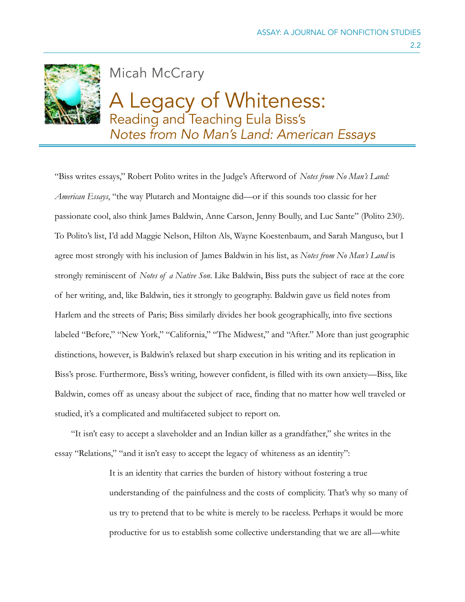

Micah McCrary

# A Legacy of Whiteness: Reading and Teaching Eula Biss's *Notes from No Man's Land: American Essays*

"Biss writes essays," Robert Polito writes in the Judge's Afterword of *Notes from No Man's Land: American Essays*, "the way Plutarch and Montaigne did—or if this sounds too classic for her passionate cool, also think James Baldwin, Anne Carson, Jenny Boully, and Luc Sante" (Polito 230). To Polito's list, I'd add Maggie Nelson, Hilton Als, Wayne Koestenbaum, and Sarah Manguso, but I agree most strongly with his inclusion of James Baldwin in his list, as *Notes from No Man's Land* is strongly reminiscent of *Notes of a Native Son*. Like Baldwin, Biss puts the subject of race at the core of her writing, and, like Baldwin, ties it strongly to geography. Baldwin gave us field notes from Harlem and the streets of Paris; Biss similarly divides her book geographically, into five sections labeled "Before," "New York," "California," "The Midwest," and "After." More than just geographic distinctions, however, is Baldwin's relaxed but sharp execution in his writing and its replication in Biss's prose. Furthermore, Biss's writing, however confident, is filled with its own anxiety—Biss, like Baldwin, comes off as uneasy about the subject of race, finding that no matter how well traveled or studied, it's a complicated and multifaceted subject to report on.

 "It isn't easy to accept a slaveholder and an Indian killer as a grandfather," she writes in the essay "Relations," "and it isn't easy to accept the legacy of whiteness as an identity":

> It is an identity that carries the burden of history without fostering a true understanding of the painfulness and the costs of complicity. That's why so many of us try to pretend that to be white is merely to be raceless. Perhaps it would be more productive for us to establish some collective understanding that we are all—white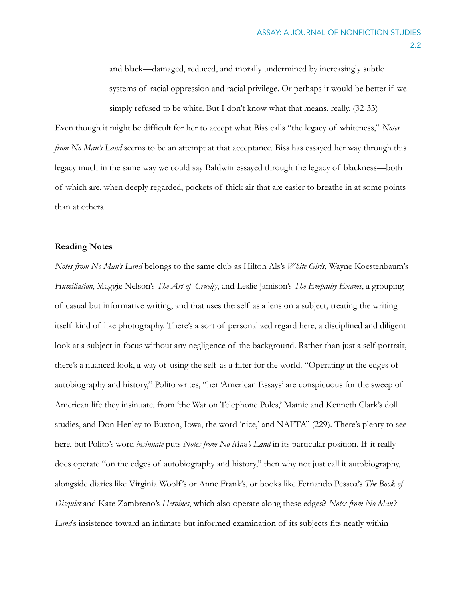and black—damaged, reduced, and morally undermined by increasingly subtle systems of racial oppression and racial privilege. Or perhaps it would be better if we simply refused to be white. But I don't know what that means, really. (32-33)

Even though it might be difficult for her to accept what Biss calls "the legacy of whiteness," *Notes from No Man's Land* seems to be an attempt at that acceptance. Biss has essayed her way through this legacy much in the same way we could say Baldwin essayed through the legacy of blackness—both of which are, when deeply regarded, pockets of thick air that are easier to breathe in at some points than at others.

#### **Reading Notes**

*Notes from No Man's Land* belongs to the same club as Hilton Als's *White Girls*, Wayne Koestenbaum's *Humiliation*, Maggie Nelson's *The Art of Cruelty*, and Leslie Jamison's *The Empathy Exams*, a grouping of casual but informative writing, and that uses the self as a lens on a subject, treating the writing itself kind of like photography. There's a sort of personalized regard here, a disciplined and diligent look at a subject in focus without any negligence of the background. Rather than just a self-portrait, there's a nuanced look, a way of using the self as a filter for the world. "Operating at the edges of autobiography and history," Polito writes, "her 'American Essays' are conspicuous for the sweep of American life they insinuate, from 'the War on Telephone Poles,' Mamie and Kenneth Clark's doll studies, and Don Henley to Buxton, Iowa, the word 'nice,' and NAFTA" (229). There's plenty to see here, but Polito's word *insinuate* puts *Notes from No Man's Land* in its particular position. If it really does operate "on the edges of autobiography and history," then why not just call it autobiography, alongside diaries like Virginia Woolf 's or Anne Frank's, or books like Fernando Pessoa's *The Book of Disquiet* and Kate Zambreno's *Heroines*, which also operate along these edges? *Notes from No Man's Land*'s insistence toward an intimate but informed examination of its subjects fits neatly within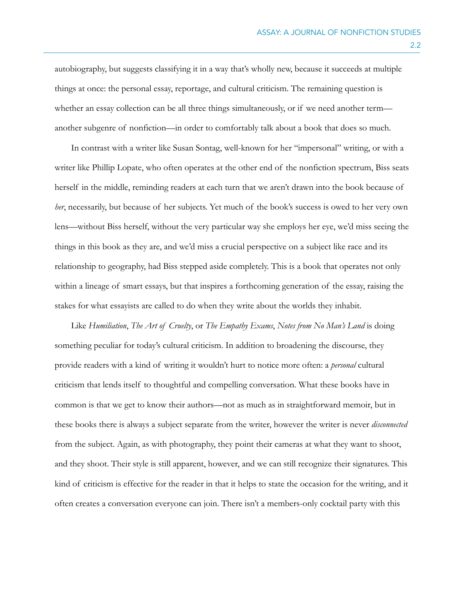autobiography, but suggests classifying it in a way that's wholly new, because it succeeds at multiple things at once: the personal essay, reportage, and cultural criticism. The remaining question is whether an essay collection can be all three things simultaneously, or if we need another term another subgenre of nonfiction—in order to comfortably talk about a book that does so much.

 In contrast with a writer like Susan Sontag, well-known for her "impersonal" writing, or with a writer like Phillip Lopate, who often operates at the other end of the nonfiction spectrum, Biss seats herself in the middle, reminding readers at each turn that we aren't drawn into the book because of *her*, necessarily, but because of her subjects. Yet much of the book's success is owed to her very own lens—without Biss herself, without the very particular way she employs her eye, we'd miss seeing the things in this book as they are, and we'd miss a crucial perspective on a subject like race and its relationship to geography, had Biss stepped aside completely. This is a book that operates not only within a lineage of smart essays, but that inspires a forthcoming generation of the essay, raising the stakes for what essayists are called to do when they write about the worlds they inhabit.

 Like *Humiliation*, *The Art of Cruelty*, or *The Empathy Exams*, *Notes from No Man's Land* is doing something peculiar for today's cultural criticism. In addition to broadening the discourse, they provide readers with a kind of writing it wouldn't hurt to notice more often: a *personal* cultural criticism that lends itself to thoughtful and compelling conversation. What these books have in common is that we get to know their authors—not as much as in straightforward memoir, but in these books there is always a subject separate from the writer, however the writer is never *disconnected* from the subject. Again, as with photography, they point their cameras at what they want to shoot, and they shoot. Their style is still apparent, however, and we can still recognize their signatures. This kind of criticism is effective for the reader in that it helps to state the occasion for the writing, and it often creates a conversation everyone can join. There isn't a members-only cocktail party with this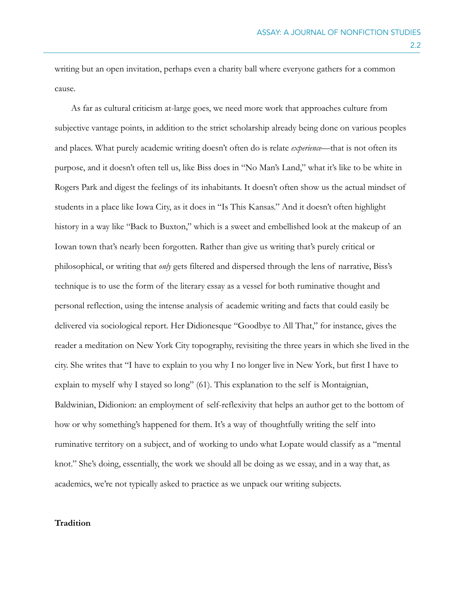writing but an open invitation, perhaps even a charity ball where everyone gathers for a common cause.

 As far as cultural criticism at-large goes, we need more work that approaches culture from subjective vantage points, in addition to the strict scholarship already being done on various peoples and places. What purely academic writing doesn't often do is relate *experience—*that is not often its purpose, and it doesn't often tell us, like Biss does in "No Man's Land," what it's like to be white in Rogers Park and digest the feelings of its inhabitants. It doesn't often show us the actual mindset of students in a place like Iowa City, as it does in "Is This Kansas." And it doesn't often highlight history in a way like "Back to Buxton," which is a sweet and embellished look at the makeup of an Iowan town that's nearly been forgotten. Rather than give us writing that's purely critical or philosophical, or writing that *only* gets filtered and dispersed through the lens of narrative, Biss's technique is to use the form of the literary essay as a vessel for both ruminative thought and personal reflection, using the intense analysis of academic writing and facts that could easily be delivered via sociological report. Her Didionesque "Goodbye to All That," for instance, gives the reader a meditation on New York City topography, revisiting the three years in which she lived in the city. She writes that "I have to explain to you why I no longer live in New York, but first I have to explain to myself why I stayed so long" (61). This explanation to the self is Montaignian, Baldwinian, Didionion: an employment of self-reflexivity that helps an author get to the bottom of how or why something's happened for them. It's a way of thoughtfully writing the self into ruminative territory on a subject, and of working to undo what Lopate would classify as a "mental knot." She's doing, essentially, the work we should all be doing as we essay, and in a way that, as academics, we're not typically asked to practice as we unpack our writing subjects.

## **Tradition**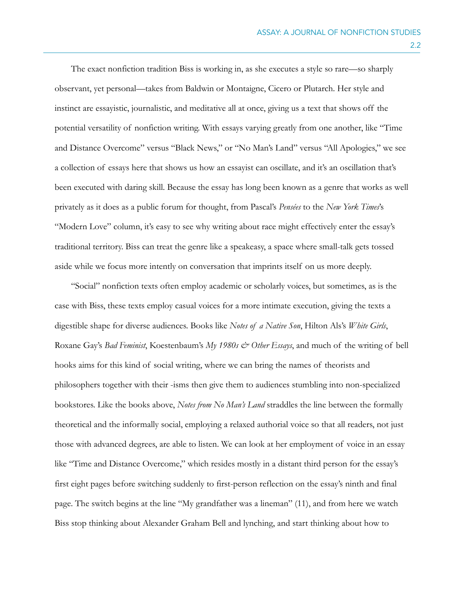The exact nonfiction tradition Biss is working in, as she executes a style so rare—so sharply observant, yet personal—takes from Baldwin or Montaigne, Cicero or Plutarch. Her style and instinct are essayistic, journalistic, and meditative all at once, giving us a text that shows off the potential versatility of nonfiction writing. With essays varying greatly from one another, like "Time and Distance Overcome" versus "Black News," or "No Man's Land" versus "All Apologies," we see a collection of essays here that shows us how an essayist can oscillate, and it's an oscillation that's been executed with daring skill. Because the essay has long been known as a genre that works as well privately as it does as a public forum for thought, from Pascal's *Pensées* to the *New York Times*'s "Modern Love" column, it's easy to see why writing about race might effectively enter the essay's traditional territory. Biss can treat the genre like a speakeasy, a space where small-talk gets tossed aside while we focus more intently on conversation that imprints itself on us more deeply.

 "Social" nonfiction texts often employ academic or scholarly voices, but sometimes, as is the case with Biss, these texts employ casual voices for a more intimate execution, giving the texts a digestible shape for diverse audiences. Books like *Notes of a Native Son*, Hilton Als's *White Girls*, Roxane Gay's *Bad Feminist*, Koestenbaum's *My 1980s & Other Essays*, and much of the writing of bell hooks aims for this kind of social writing, where we can bring the names of theorists and philosophers together with their -isms then give them to audiences stumbling into non-specialized bookstores. Like the books above, *Notes from No Man's Land* straddles the line between the formally theoretical and the informally social, employing a relaxed authorial voice so that all readers, not just those with advanced degrees, are able to listen. We can look at her employment of voice in an essay like "Time and Distance Overcome," which resides mostly in a distant third person for the essay's first eight pages before switching suddenly to first-person reflection on the essay's ninth and final page. The switch begins at the line "My grandfather was a lineman" (11), and from here we watch Biss stop thinking about Alexander Graham Bell and lynching, and start thinking about how to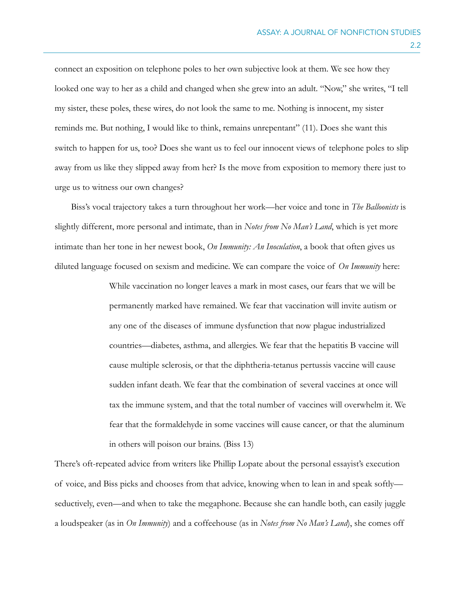connect an exposition on telephone poles to her own subjective look at them. We see how they looked one way to her as a child and changed when she grew into an adult. "Now," she writes, "I tell my sister, these poles, these wires, do not look the same to me. Nothing is innocent, my sister reminds me. But nothing, I would like to think, remains unrepentant" (11). Does she want this switch to happen for us, too? Does she want us to feel our innocent views of telephone poles to slip away from us like they slipped away from her? Is the move from exposition to memory there just to urge us to witness our own changes?

 Biss's vocal trajectory takes a turn throughout her work—her voice and tone in *The Balloonists* is slightly different, more personal and intimate, than in *Notes from No Man's Land*, which is yet more intimate than her tone in her newest book, *On Immunity: An Inoculation*, a book that often gives us diluted language focused on sexism and medicine. We can compare the voice of *On Immunity* here:

> While vaccination no longer leaves a mark in most cases, our fears that we will be permanently marked have remained. We fear that vaccination will invite autism or any one of the diseases of immune dysfunction that now plague industrialized countries—diabetes, asthma, and allergies. We fear that the hepatitis B vaccine will cause multiple sclerosis, or that the diphtheria-tetanus pertussis vaccine will cause sudden infant death. We fear that the combination of several vaccines at once will tax the immune system, and that the total number of vaccines will overwhelm it. We fear that the formaldehyde in some vaccines will cause cancer, or that the aluminum in others will poison our brains. (Biss 13)

There's oft-repeated advice from writers like Phillip Lopate about the personal essayist's execution of voice, and Biss picks and chooses from that advice, knowing when to lean in and speak softly seductively, even—and when to take the megaphone. Because she can handle both, can easily juggle a loudspeaker (as in *On Immunity*) and a coffeehouse (as in *Notes from No Man's Land*), she comes off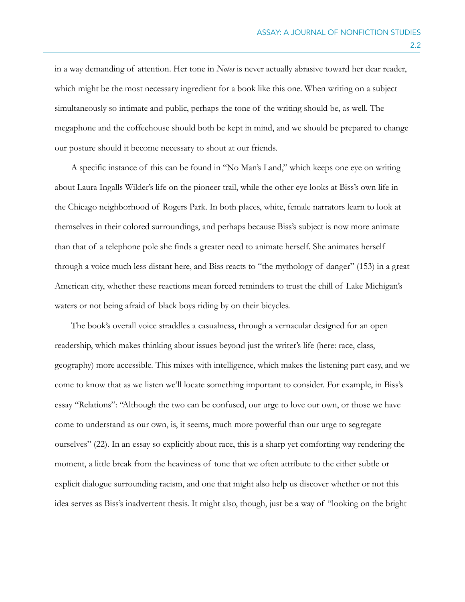in a way demanding of attention. Her tone in *Notes* is never actually abrasive toward her dear reader, which might be the most necessary ingredient for a book like this one. When writing on a subject simultaneously so intimate and public, perhaps the tone of the writing should be, as well. The megaphone and the coffeehouse should both be kept in mind, and we should be prepared to change our posture should it become necessary to shout at our friends.

 A specific instance of this can be found in "No Man's Land," which keeps one eye on writing about Laura Ingalls Wilder's life on the pioneer trail, while the other eye looks at Biss's own life in the Chicago neighborhood of Rogers Park. In both places, white, female narrators learn to look at themselves in their colored surroundings, and perhaps because Biss's subject is now more animate than that of a telephone pole she finds a greater need to animate herself. She animates herself through a voice much less distant here, and Biss reacts to "the mythology of danger" (153) in a great American city, whether these reactions mean forced reminders to trust the chill of Lake Michigan's waters or not being afraid of black boys riding by on their bicycles.

 The book's overall voice straddles a casualness, through a vernacular designed for an open readership, which makes thinking about issues beyond just the writer's life (here: race, class, geography) more accessible. This mixes with intelligence, which makes the listening part easy, and we come to know that as we listen we'll locate something important to consider. For example, in Biss's essay "Relations": "Although the two can be confused, our urge to love our own, or those we have come to understand as our own, is, it seems, much more powerful than our urge to segregate ourselves" (22). In an essay so explicitly about race, this is a sharp yet comforting way rendering the moment, a little break from the heaviness of tone that we often attribute to the either subtle or explicit dialogue surrounding racism, and one that might also help us discover whether or not this idea serves as Biss's inadvertent thesis. It might also, though, just be a way of "looking on the bright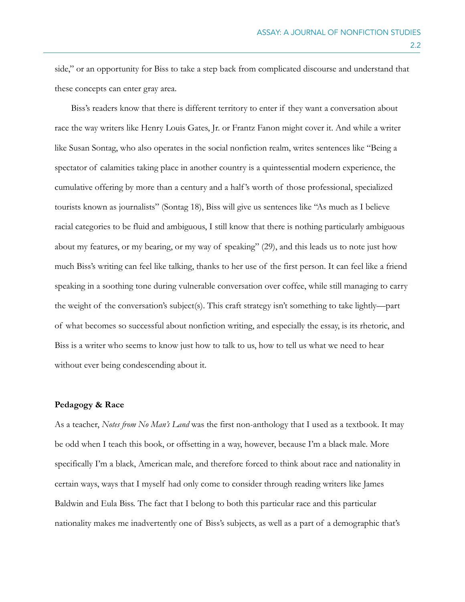side," or an opportunity for Biss to take a step back from complicated discourse and understand that these concepts can enter gray area.

 Biss's readers know that there is different territory to enter if they want a conversation about race the way writers like Henry Louis Gates, Jr. or Frantz Fanon might cover it. And while a writer like Susan Sontag, who also operates in the social nonfiction realm, writes sentences like "Being a spectator of calamities taking place in another country is a quintessential modern experience, the cumulative offering by more than a century and a half 's worth of those professional, specialized tourists known as journalists" (Sontag 18), Biss will give us sentences like "As much as I believe racial categories to be fluid and ambiguous, I still know that there is nothing particularly ambiguous about my features, or my bearing, or my way of speaking" (29), and this leads us to note just how much Biss's writing can feel like talking, thanks to her use of the first person. It can feel like a friend speaking in a soothing tone during vulnerable conversation over coffee, while still managing to carry the weight of the conversation's subject(s). This craft strategy isn't something to take lightly—part of what becomes so successful about nonfiction writing, and especially the essay, is its rhetoric, and Biss is a writer who seems to know just how to talk to us, how to tell us what we need to hear without ever being condescending about it.

#### **Pedagogy & Race**

As a teacher, *Notes from No Man's Land* was the first non-anthology that I used as a textbook. It may be odd when I teach this book, or offsetting in a way, however, because I'm a black male. More specifically I'm a black, American male, and therefore forced to think about race and nationality in certain ways, ways that I myself had only come to consider through reading writers like James Baldwin and Eula Biss. The fact that I belong to both this particular race and this particular nationality makes me inadvertently one of Biss's subjects, as well as a part of a demographic that's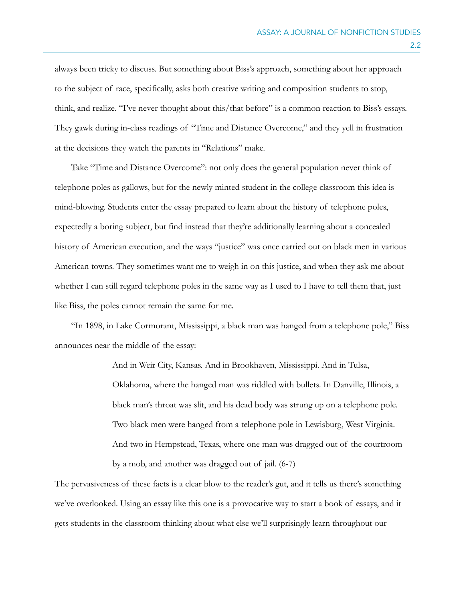always been tricky to discuss. But something about Biss's approach, something about her approach to the subject of race, specifically, asks both creative writing and composition students to stop, think, and realize. "I've never thought about this/that before" is a common reaction to Biss's essays. They gawk during in-class readings of "Time and Distance Overcome," and they yell in frustration at the decisions they watch the parents in "Relations" make.

 Take "Time and Distance Overcome": not only does the general population never think of telephone poles as gallows, but for the newly minted student in the college classroom this idea is mind-blowing. Students enter the essay prepared to learn about the history of telephone poles, expectedly a boring subject, but find instead that they're additionally learning about a concealed history of American execution, and the ways "justice" was once carried out on black men in various American towns. They sometimes want me to weigh in on this justice, and when they ask me about whether I can still regard telephone poles in the same way as I used to I have to tell them that, just like Biss, the poles cannot remain the same for me.

 "In 1898, in Lake Cormorant, Mississippi, a black man was hanged from a telephone pole," Biss announces near the middle of the essay:

> And in Weir City, Kansas. And in Brookhaven, Mississippi. And in Tulsa, Oklahoma, where the hanged man was riddled with bullets. In Danville, Illinois, a black man's throat was slit, and his dead body was strung up on a telephone pole. Two black men were hanged from a telephone pole in Lewisburg, West Virginia. And two in Hempstead, Texas, where one man was dragged out of the courtroom by a mob, and another was dragged out of jail. (6-7)

The pervasiveness of these facts is a clear blow to the reader's gut, and it tells us there's something we've overlooked. Using an essay like this one is a provocative way to start a book of essays, and it gets students in the classroom thinking about what else we'll surprisingly learn throughout our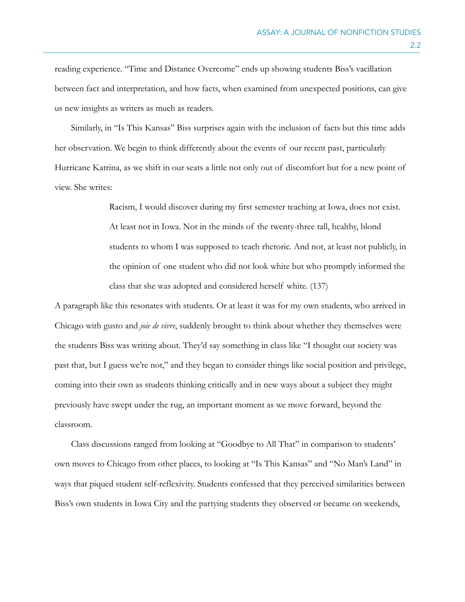reading experience. "Time and Distance Overcome" ends up showing students Biss's vacillation between fact and interpretation, and how facts, when examined from unexpected positions, can give us new insights as writers as much as readers.

 Similarly, in "Is This Kansas" Biss surprises again with the inclusion of facts but this time adds her observation. We begin to think differently about the events of our recent past, particularly Hurricane Katrina, as we shift in our seats a little not only out of discomfort but for a new point of view. She writes:

> Racism, I would discover during my first semester teaching at Iowa, does not exist. At least not in Iowa. Not in the minds of the twenty-three tall, healthy, blond students to whom I was supposed to teach rhetoric. And not, at least not publicly, in the opinion of one student who did not look white but who promptly informed the class that she was adopted and considered herself white. (137)

A paragraph like this resonates with students. Or at least it was for my own students, who arrived in Chicago with gusto and *joie de vivre*, suddenly brought to think about whether they themselves were the students Biss was writing about. They'd say something in class like "I thought our society was past that, but I guess we're not," and they began to consider things like social position and privilege, coming into their own as students thinking critically and in new ways about a subject they might previously have swept under the rug, an important moment as we move forward, beyond the classroom.

 Class discussions ranged from looking at "Goodbye to All That" in comparison to students' own moves to Chicago from other places, to looking at "Is This Kansas" and "No Man's Land" in ways that piqued student self-reflexivity. Students confessed that they perceived similarities between Biss's own students in Iowa City and the partying students they observed or became on weekends,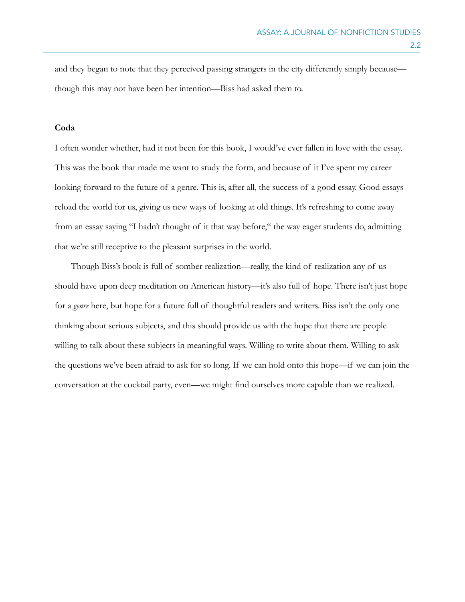and they began to note that they perceived passing strangers in the city differently simply because though this may not have been her intention—Biss had asked them to.

## **Coda**

I often wonder whether, had it not been for this book, I would've ever fallen in love with the essay. This was the book that made me want to study the form, and because of it I've spent my career looking forward to the future of a genre. This is, after all, the success of a good essay. Good essays reload the world for us, giving us new ways of looking at old things. It's refreshing to come away from an essay saying "I hadn't thought of it that way before," the way eager students do, admitting that we're still receptive to the pleasant surprises in the world.

 Though Biss's book is full of somber realization—really, the kind of realization any of us should have upon deep meditation on American history—it's also full of hope. There isn't just hope for a *genre* here, but hope for a future full of thoughtful readers and writers. Biss isn't the only one thinking about serious subjects, and this should provide us with the hope that there are people willing to talk about these subjects in meaningful ways. Willing to write about them. Willing to ask the questions we've been afraid to ask for so long. If we can hold onto this hope—if we can join the conversation at the cocktail party, even—we might find ourselves more capable than we realized.